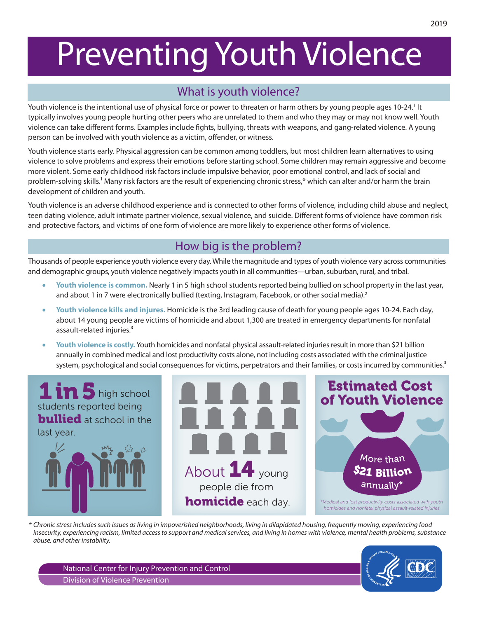# Preventing Youth Violence

# What is youth violence?

Youth violence is the intentional use of physical force or power to threaten or harm others by young people ages 10-24.<sup>1</sup> It typically involves young people hurting other peers who are unrelated to them and who they may or may not know well. Youth violence can take different forms. Examples include fights, bullying, threats with weapons, and gang-related violence. A young person can be involved with youth violence as a victim, offender, or witness.

Youth violence starts early. Physical aggression can be common among toddlers, but most children learn alternatives to using violence to solve problems and express their emotions before starting school. Some children may remain aggressive and become more violent. Some early childhood risk factors include impulsive behavior, poor emotional control, and lack of social and problem-solving skills.<sup>1</sup> Many risk factors are the result of experiencing chronic stress,\* which can alter and/or harm the brain development of children and youth.

Youth violence is an adverse childhood experience and is connected to other forms of violence, including child abuse and neglect, teen dating violence, adult intimate partner violence, sexual violence, and suicide. Different forms of violence have common risk and protective factors, and victims of one form of violence are more likely to experience other forms of violence.

# How big is the problem?

Thousands of people experience youth violence every day. While the magnitude and types of youth violence vary across communities and demographic groups, youth violence negatively impacts youth in all communities—urban, suburban, rural, and tribal.

- Youth violence is common. Nearly 1 in 5 high school students reported being bullied on school property in the last year, and about 1 in 7 were electronically bullied (texting, Instagram, Facebook, or other social media).<sup>2</sup>
- • **Youth violence kills and injures.** Homicide is the 3rd leading cause of death for young people ages 10-24. Each day, about 14 young people are victims of homicide and about 1,300 are treated in emergency departments for nonfatal assault-related injuries.<sup>3</sup>
- • **Youth violence is costly.** Youth homicides and nonfatal physical assault-related injuries result in more than \$21 billion annually in combined medical and lost productivity costs alone, not including costs associated with the criminal justice system, psychological and social consequences for victims, perpetrators and their families, or costs incurred by communities.<sup>3</sup>



*\* Chronic stress includes such issues as living in impoverished neighborhoods, living in dilapidated housing, frequently moving, experiencing food insecurity, experiencing racism, limited access to support and medical services, and living in homes with violence, mental health problems, substance abuse, and other instability.*



2019

National Center for Injury Prevention and Control Division of Violence Prevention